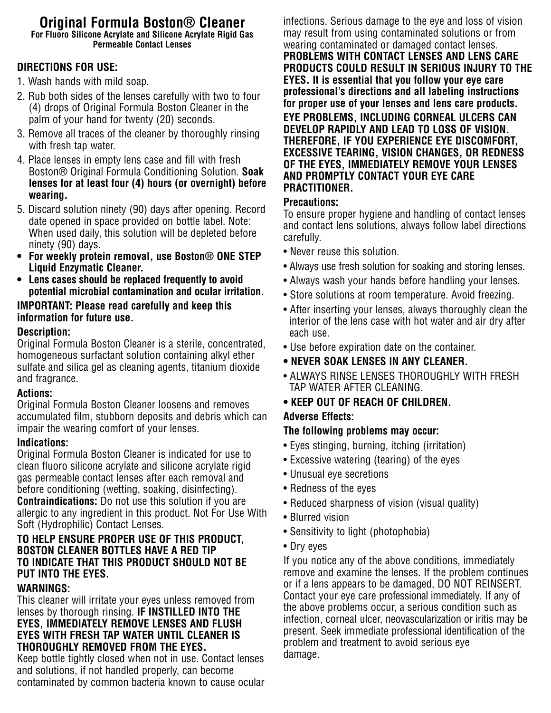#### **Original Formula Boston® Cleaner For Fluoro Silicone Acrylate and Silicone Acrylate Rigid Gas Permeable Contact Lenses**

# **DIRECTIONS FOR USE:**

- 1. Wash hands with mild soap.
- 2. Rub both sides of the lenses carefully with two to four (4) drops of Original Formula Boston Cleaner in the palm of your hand for twenty (20) seconds.
- 3. Remove all traces of the cleaner by thoroughly rinsing with fresh tap water.
- 4. Place lenses in empty lens case and fill with fresh Boston® Original Formula Conditioning Solution. **Soak lenses for at least four (4) hours (or overnight) before wearing.**
- 5. Discard solution ninety (90) days after opening. Record date opened in space provided on bottle label. Note: When used daily, this solution will be depleted before ninety (90) days.
- **For weekly protein removal, use Boston® ONE STEP Liquid Enzymatic Cleaner.**
- **Lens cases should be replaced frequently to avoid potential microbial contamination and ocular irritation.**

### **IMPORTANT: Please read carefully and keep this information for future use.**

### **Description:**

Original Formula Boston Cleaner is a sterile, concentrated, homogeneous surfactant solution containing alkyl ether sulfate and silica gel as cleaning agents, titanium dioxide and fragrance.

# **Actions:**

Original Formula Boston Cleaner loosens and removes accumulated film, stubborn deposits and debris which can impair the wearing comfort of your lenses.

# **Indications:**

Original Formula Boston Cleaner is indicated for use to clean fluoro silicone acrylate and silicone acrylate rigid gas permeable contact lenses after each removal and before conditioning (wetting, soaking, disinfecting). **Contraindications:** Do not use this solution if you are allergic to any ingredient in this product. Not For Use With Soft (Hydrophilic) Contact Lenses.

# **TO HELP ENSURE PROPER USE OF THIS PRODUCT, BOSTON CLEANER BOTTLES HAVE A RED TIP TO INDICATE THAT THIS PRODUCT SHOULD NOT BE PUT INTO THE EYES.**

#### **WARNINGS:**

This cleaner will irritate your eyes unless removed from lenses by thorough rinsing. **IF INSTILLED INTO THE EYES, IMMEDIATELY REMOVE LENSES AND FLUSH EYES WITH FRESH TAP WATER UNTIL CLEANER IS THOROUGHLY REMOVED FROM THE EYES.**

Keep bottle tightly closed when not in use. Contact lenses and solutions, if not handled properly, can become contaminated by common bacteria known to cause ocular infections. Serious damage to the eye and loss of vision may result from using contaminated solutions or from wearing contaminated or damaged contact lenses. **PROBLEMS WITH CONTACT LENSES AND LENS CARE PRODUCTS COULD RESULT IN SERIOUS INJURY TO THE EYES. It is essential that you follow your eye care professional's directions and all labeling instructions for proper use of your lenses and lens care products. EYE PROBLEMS, INCLUDING CORNEAL ULCERS CAN DEVELOP RAPIDLY AND LEAD TO LOSS OF VISION. THEREFORE, IF YOU EXPERIENCE EYE DISCOMFORT, EXCESSIVE TEARING, VISION CHANGES, OR REDNESS OF THE EYES, IMMEDIATELY REMOVE YOUR LENSES AND PROMPTLY CONTACT YOUR EYE CARE PRACTITIONER.**

#### **Precautions:**

To ensure proper hygiene and handling of contact lenses and contact lens solutions, always follow label directions carefully.

- Never reuse this solution.
- Always use fresh solution for soaking and storing lenses.
- Always wash your hands before handling your lenses.
- Store solutions at room temperature. Avoid freezing.
- After inserting your lenses, always thoroughly clean the interior of the lens case with hot water and air dry after each use.
- Use before expiration date on the container.
- **NEVER SOAK LENSES IN ANY CLEANER.**
- ALWAYS RINSE LENSES THOROUGHLY WITH FRESH TAP WATER AFTER CLEANING.
- **KEEP OUT OF REACH OF CHILDREN.**

# **Adverse Effects:**

# **The following problems may occur:**

- Eyes stinging, burning, itching (irritation)
- Excessive watering (tearing) of the eyes
- Unusual eye secretions
- Redness of the eyes
- Reduced sharpness of vision (visual quality)
- Blurred vision
- Sensitivity to light (photophobia)
- Dry eyes

If you notice any of the above conditions, immediately remove and examine the lenses. If the problem continues or if a lens appears to be damaged, DO NOT REINSERT. Contact your eye care professional immediately. If any of the above problems occur, a serious condition such as infection, corneal ulcer, neovascularization or iritis may be present. Seek immediate professional identification of the problem and treatment to avoid serious eye damage.